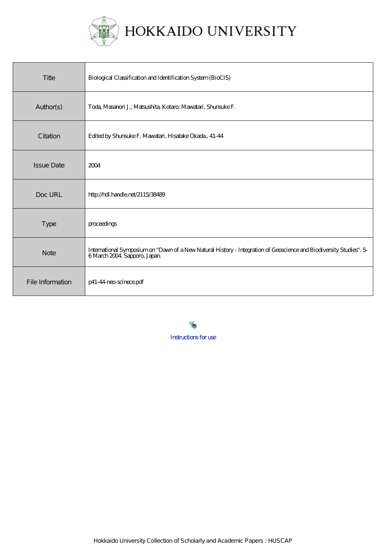

# HOKKAIDO UNIVERSITY

| Title             | Biological Classification and Identification System (BioCIS)                                                                                      |
|-------------------|---------------------------------------------------------------------------------------------------------------------------------------------------|
| Author(s)         | Toda, Masanori J.; Matsushita, Kotaro; Mawatari, Shunsuke F.                                                                                      |
| Citation          | Edited by Shunsuke F. Mawatari, Hisatake Okada, 41-44                                                                                             |
| <b>Issue Date</b> | 2004                                                                                                                                              |
| Doc URL           | http://hdl.handle.net/2115/38489                                                                                                                  |
| <b>Type</b>       | proceedings                                                                                                                                       |
| <b>Note</b>       | International Symposium on "Dawn of a New Natural History - Integration of Geoscience and Biodiversity Studies". 5<br>6 March 2004 Sapporo, Japan |
| File Information  | p41-44-neo-scinece.pdf                                                                                                                            |

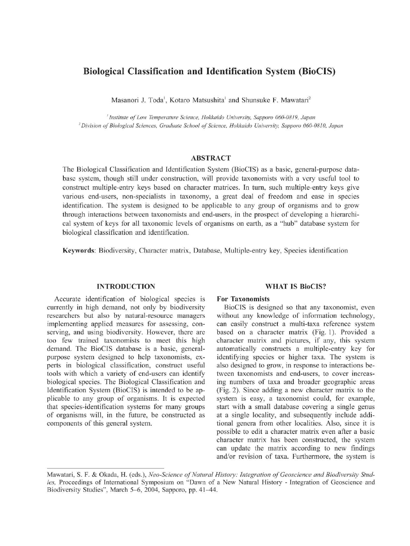# Biological Classification and Identification System (BioCIS)

Masanori J. Toda<sup>1</sup>, Kotaro Matsushita<sup>1</sup> and Shunsuke F. Mawatari<sup>2</sup>

' Institute of Low Temperature Science , Hokkaido University, Sapporo 060-0819, Japan 'Division of Biological Sciences , Graduate School of Science, Hokkaido University, Sapporo 060-0810, Japan

# ABSTRACT

The Biological Classification and Identification System (BioCIS) as a basic, general-purpose database system, though still under construction, will provide taxonomists with a very useful tool to construct multiple-entry keys based on character matrices. In turn, such multiple-entry keys give various end-users, non-specialists in taxonomy, a great deal of freedom and ease in species identification. The system is designed to be applicable to any group of organisms and to grow through interactions between taxonomists and end-users, in the prospect of developing a hierarchical system of keys for all taxonomic levels of organisms on earth, as a "hub" database system for biological classification and identification.

Keywords: Biodiversity, Character matrix, Database, Multiple-entry key, Species identification

# INTRODUCTION

Accurate identification of biological species is currently in high demand, not only by biodiversity researchers but also by natural-resource managers implementing applied measures for assessing, conserving, and using biodiversity. However, there are too few trained taxonomists to meet this high demand. The BioCIS database is a basic, generalpurpose system designed to help taxonomists, experts in biological classification, construct useful tools with which a variety of end-users can identify biological species. The Biological Classification and Identification System (BioCIS) is intended to be applicable to any group of organisms. It is expected that species-identification systems for many groups of organisms will, in the future, be constructed as components of this general system.

# WHAT IS BioCIS?

# For Taxonomists

BioCIS is designed so that any taxonomist, even without any knowledge of information technology, can easily construct a multi-taxa reference system based on a character matrix (Fig. 1). Provided a character matrix and pictures, if any, this system automatically constructs a multiple-entry key for identifying species or higher taxa. The system is also designed to grow, in response to interactions between taxonomists and end-users, to cover increasing numbers of taxa and broader geographic areas (Fig. 2). Since adding a new character matrix to the system is easy, a taxonomist could, for example, start with a small database covering a single genus at a single locality, and subsequently include additional genera from other localities. Also, since it is possible to edit a character matrix even after a basic character matrix has been constructed, the system can update the matrix according to new findings and/or revision of taxa. Furthermore, the system is

Mawatari, S. F. & Okada, H. (eds.), Neo-Science of Natural History: Integration of Geoscience and Biodiversity Studies, Proceedings of International Symposium on "Dawn of a New Natural History - Integration of Geoscience and Biodiversity Studies", March 5-6, 2004, Sapporo, pp. 41-44.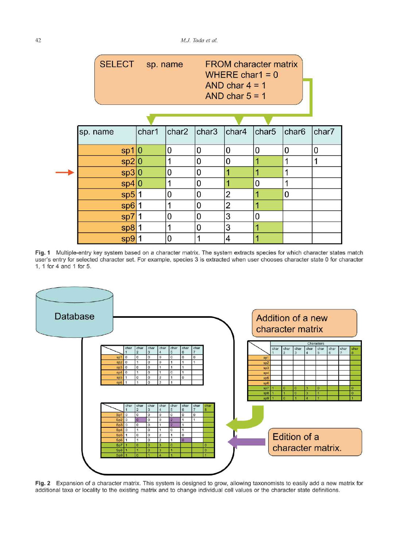| SELECT sp. name |       | <b>FROM character matrix</b><br>WHERE char1 = $0$<br>AND char $4 = 1$<br>AND char $5 = 1$ |             |                |                   |                   |       |
|-----------------|-------|-------------------------------------------------------------------------------------------|-------------|----------------|-------------------|-------------------|-------|
|                 |       |                                                                                           |             |                |                   |                   |       |
| sp. name        | char1 | char2                                                                                     | char3       | char4          | char <sub>5</sub> | char <sub>6</sub> | char7 |
| sp1 0           |       | 0                                                                                         | $\mathbf 0$ | 0              | $\overline{0}$    | 0                 | 0     |
| sp2 0           |       | 1                                                                                         | 0           | 0              |                   | 1                 | 1     |
| sp3 0           |       | 0                                                                                         | 0           |                |                   | 1                 |       |
| sp4 0           |       | 1                                                                                         | 0           |                | $\overline{0}$    | 1                 |       |
| $sp5$  1        |       | 0                                                                                         | 0           | $\overline{2}$ |                   | 0                 |       |
| sp6 1           |       | 1                                                                                         | 0           | 2              |                   |                   |       |
| $sp7$  1        |       | 0                                                                                         | 0           | 3              | 0                 |                   |       |
| $sp8$  1        |       | 1                                                                                         | 0           | 3              |                   |                   |       |
| sp9 1           |       | 0                                                                                         |             | 4              |                   |                   |       |

Fig. 1 Multiple-entry key system based on a character matrix. The system extracts species for which character states match user's entry for selected character set. For example, species 3 is extracted when user chooses character state 0 for character 1, 1 for 4 and 1 for 5.



Fig. 2 Expansion of a character matrix. This system is designed to grow, allowing taxonomists to easily add a new matrix for additional taxa or locality to the existing matrix and to change individual cell values or the character state definitions.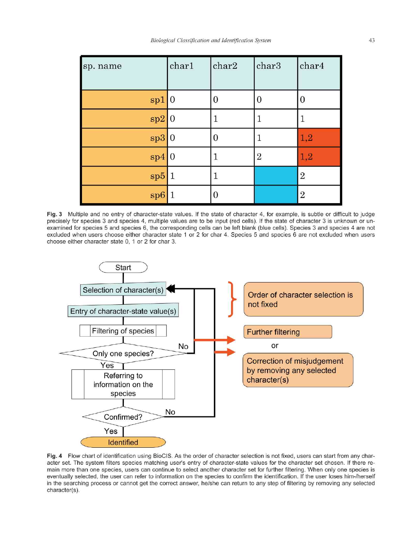| Biological Classification and Identification System |  |
|-----------------------------------------------------|--|
|                                                     |  |

| sp. name | char1     | char2 | char3          | char4            |
|----------|-----------|-------|----------------|------------------|
| spl 0    |           | 0     | $\mathbf{0}$   | $\mathbf 0$      |
| sp2 0    |           |       | 1              |                  |
| sp3 0    |           | O     |                | 1,2              |
| sp4 0    |           |       | $\overline{2}$ | 1,2              |
| sp5      | $\vert$ 1 |       |                | $\boldsymbol{2}$ |
| sp6      |           | 0     |                | $\overline{2}$   |

Fig. 3 Multiple and no entry of character-state values. If the state of character 4, for example, is subtle or difficult to judge precisely for species 3 and species 4, multiple values are to be input (red cells). If the state of character 3 is unknown or unexamined for species 5 and species 6, the corresponding cells can be left blank (blue cells). Species 3 and species 4 are not excluded when users choose either character state 1 or 2 for char 4. Species 5 and species 6 are not excluded when users choose either character state 0, 1 or 2 for char 3.



Fig. 4 Flow chart of identification using BioCIS. As the order of character selection is not fixed, users can start from any character set. The system filters species matching user's entry of character-state values for the character set chosen. If there remain more than one species, users can continue to select another character set for further filtering. When only one species is eventually selected, the user can refer to information on the species to confirm the identification. If the user loses him-/herself in the searching process or cannot get the correct answer, he/she can return to any step of filtering by removing any selected character(s).